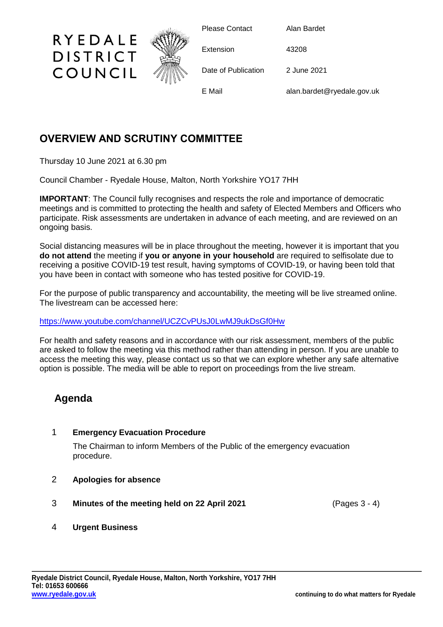

# **OVERVIEW AND SCRUTINY COMMITTEE**

Thursday 10 June 2021 at 6.30 pm

Council Chamber - Ryedale House, Malton, North Yorkshire YO17 7HH

**IMPORTANT:** The Council fully recognises and respects the role and importance of democratic meetings and is committed to protecting the health and safety of Elected Members and Officers who participate. Risk assessments are undertaken in advance of each meeting, and are reviewed on an ongoing basis.

Social distancing measures will be in place throughout the meeting, however it is important that you **do not attend** the meeting if **you or anyone in your household** are required to selfisolate due to receiving a positive COVID-19 test result, having symptoms of COVID-19, or having been told that you have been in contact with someone who has tested positive for COVID-19.

For the purpose of public transparency and accountability, the meeting will be live streamed online. The livestream can be accessed here:

<https://www.youtube.com/channel/UCZCvPUsJ0LwMJ9ukDsGf0Hw>

For health and safety reasons and in accordance with our risk assessment, members of the public are asked to follow the meeting via this method rather than attending in person. If you are unable to access the meeting this way, please contact us so that we can explore whether any safe alternative option is possible. The media will be able to report on proceedings from the live stream.

# **Agenda**

## 1 **Emergency Evacuation Procedure**

The Chairman to inform Members of the Public of the emergency evacuation procedure.

- 2 **Apologies for absence**
- 3 **Minutes of the meeting held on 22 April 2021** (Pages 3 4)
- 4 **Urgent Business**